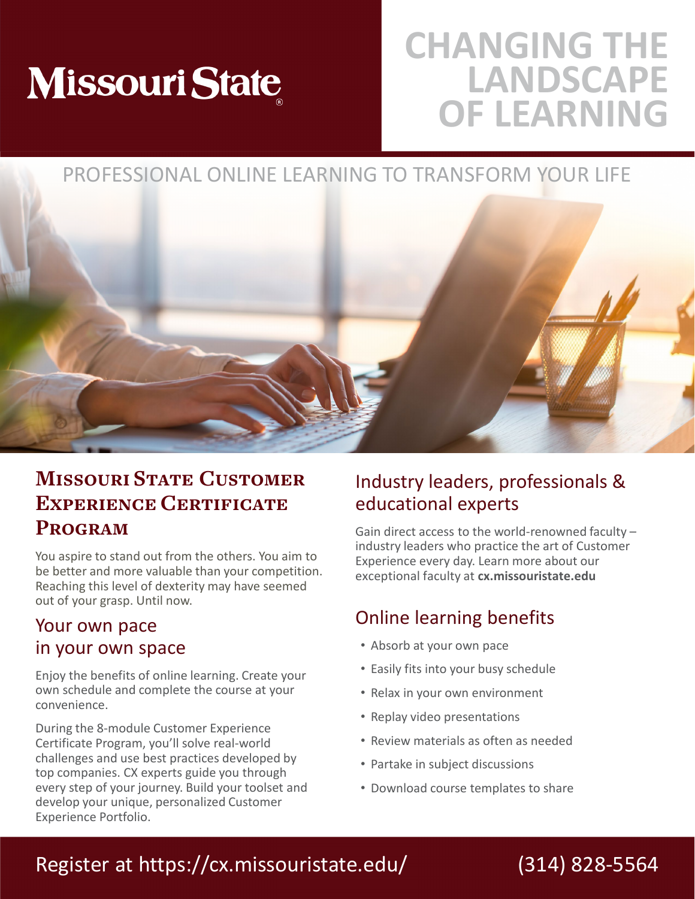# **Missouri State**

## **CHANGING THE LANDSCAPE OF LEARNING**

### PROFESSIONAL ONLINE LEARNING TO TRANSFORM YOUR LIFE



### **Missouri State Customer Experience Certificate Program**

You aspire to stand out from the others. You aim to be better and more valuable than your competition. Reaching this level of dexterity may have seemed out of your grasp. Until now.

### Your own pace in your own space

Enjoy the benefits of online learning. Create your own schedule and complete the course at your convenience.

During the 8-module Customer Experience Certificate Program, you'll solve real-world challenges and use best practices developed by top companies. CX experts guide you through every step of your journey. Build your toolset and develop your unique, personalized Customer Experience Portfolio.

### Industry leaders, professionals & educational experts

Gain direct access to the world-renowned faculty – industry leaders who practice the art of Customer Experience every day. Learn more about our exceptional faculty at **cx.missouristate.edu** 

### Online learning benefits

- Absorb at your own pace
- Easily fits into your busy schedule
- Relax in your own environment
- Replay video presentations
- Review materials as often as needed
- Partake in subject discussions
- Download course templates to share

### Register at https://cx.missouristate.edu/

### (314) 828-5564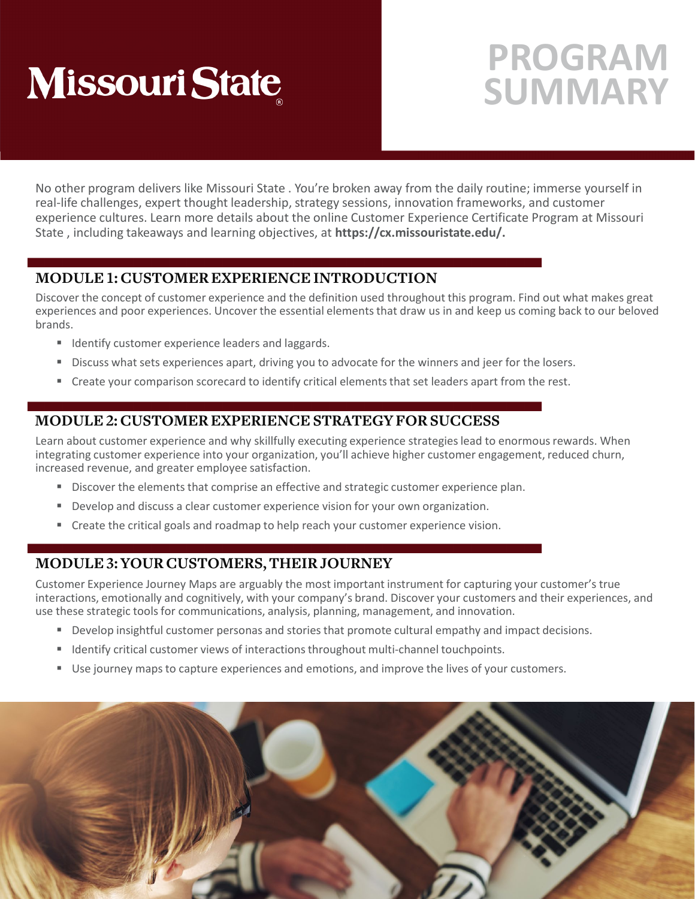## **PROGRAM SUMMARY**

No other program delivers like Missouri State . You're broken away from the daily routine; immerse yourself in real-life challenges, expert thought leadership, strategy sessions, innovation frameworks, and customer experience cultures. Learn more details about the online Customer Experience Certificate Program at Missouri State , including takeaways and learning objectives, at **https://cx.missouristate.edu/.**

#### **MODULE 1: CUSTOMER EXPERIENCE INTRODUCTION**

Discover the concept of customer experience and the definition used throughout this program. Find out what makes great experiences and poor experiences. Uncover the essential elements that draw us in and keep us coming back to our beloved brands.

- **IDENTIFY CUSTOMER EXPERIENCE LEADERS AND LARGE ISL**
- Discuss what sets experiences apart, driving you to advocate for the winners and jeer for the losers.
- Create your comparison scorecard to identify critical elements that set leaders apart from the rest.

### **MODULE 2: CUSTOMER EXPERIENCE STRATEGY FOR SUCCESS**

Learn about customer experience and why skillfully executing experience strategies lead to enormous rewards. When integrating customer experience into your organization, you'll achieve higher customer engagement, reduced churn, increased revenue, and greater employee satisfaction.

- Discover the elements that comprise an effective and strategic customer experience plan.
- Develop and discuss a clear customer experience vision for your own organization.
- **Create the critical goals and roadmap to help reach your customer experience vision.**

### **MODULE 3: YOUR CUSTOMERS, THEIR JOURNEY**

Customer Experience Journey Maps are arguably the most important instrument for capturing your customer's true interactions, emotionally and cognitively, with your company's brand. Discover your customers and their experiences, and use these strategic tools for communications, analysis, planning, management, and innovation.

- Develop insightful customer personas and stories that promote cultural empathy and impact decisions.
- Identify critical customer views of interactions throughout multi-channel touchpoints.
- Use journey maps to capture experiences and emotions, and improve the lives of your customers.

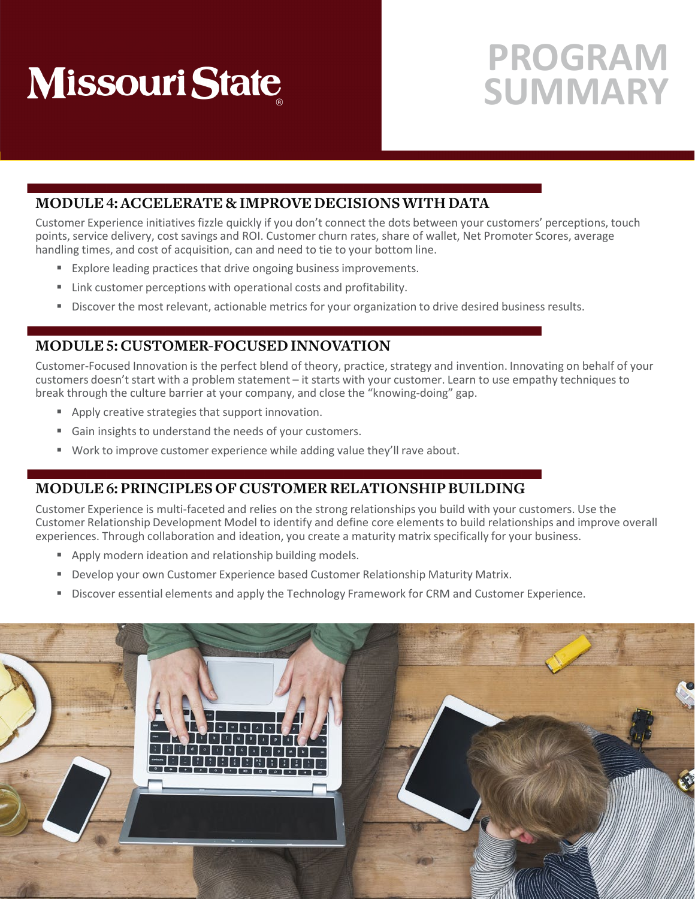## **PROGRAM SUMMARY**

#### **MODULE 4: ACCELERATE & IMPROVE DECISIONS WITH DATA**

Customer Experience initiatives fizzle quickly if you don't connect the dots between your customers' perceptions, touch points, service delivery, cost savings and ROI. Customer churn rates, share of wallet, Net Promoter Scores, average handling times, and cost of acquisition, can and need to tie to your bottom line.

- Explore leading practices that drive ongoing business improvements.
- Link customer perceptions with operational costs and profitability.
- **Discover the most relevant, actionable metrics for your organization to drive desired business results.**

#### **MODULE 5: CUSTOMER-FOCUSED INNOVATION**

Customer-Focused Innovation is the perfect blend of theory, practice, strategy and invention. Innovating on behalf of your customers doesn't start with a problem statement – it starts with your customer. Learn to use empathy techniques to break through the culture barrier at your company, and close the "knowing-doing" gap.

- **Apply creative strategies that support innovation.**
- Gain insights to understand the needs of your customers.
- Work to improve customer experience while adding value they'll rave about.

#### **MODULE 6: PRINCIPLES OF CUSTOMER RELATIONSHIP BUILDING**

Customer Experience is multi-faceted and relies on the strong relationships you build with your customers. Use the Customer Relationship Development Model to identify and define core elements to build relationships and improve overall experiences. Through collaboration and ideation, you create a maturity matrix specifically for your business.

- **Apply modern ideation and relationship building models.**
- **Develop your own Customer Experience based Customer Relationship Maturity Matrix.**
- **Discover essential elements and apply the Technology Framework for CRM and Customer Experience.**

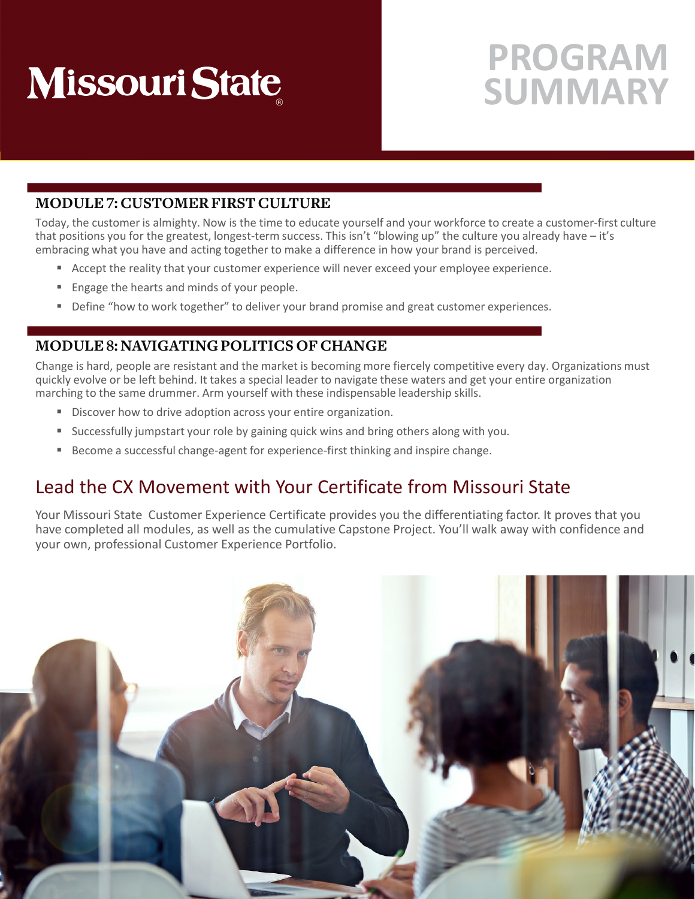## **PROGRAM SUMMARY**

#### **MODULE 7: CUSTOMER FIRST CULTURE**

Today, the customer is almighty. Now is the time to educate yourself and your workforce to create a customer-first culture that positions you for the greatest, longest-term success. This isn't "blowing up" the culture you already have – it's embracing what you have and acting together to make a difference in how your brand is perceived.

- Accept the reality that your customer experience will never exceed your employee experience.
- **Engage the hearts and minds of your people.**
- **Define "how to work together" to deliver your brand promise and great customer experiences.**

#### **MODULE 8: NAVIGATING POLITICS OF CHANGE**

Change is hard, people are resistant and the market is becoming more fiercely competitive every day. Organizations must quickly evolve or be left behind. It takes a special leader to navigate these waters and get your entire organization marching to the same drummer. Arm yourself with these indispensable leadership skills.

- Discover how to drive adoption across your entire organization.
- **Successfully jumpstart your role by gaining quick wins and bring others along with you.**
- Become a successful change-agent for experience-first thinking and inspire change.

### Lead the CX Movement with Your Certificate from Missouri State

Your Missouri State Customer Experience Certificate provides you the differentiating factor. It proves that you have completed all modules, as well as the cumulative Capstone Project. You'll walk away with confidence and your own, professional Customer Experience Portfolio.

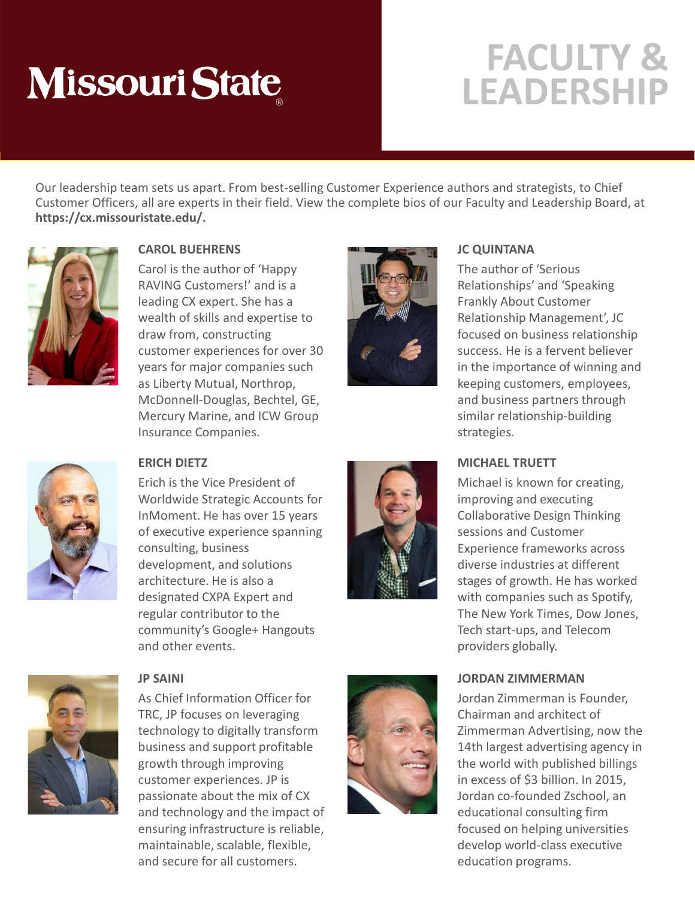## **FACULTY & LEADERSHIP**

Our leadership team sets us apart. From best-selling Customer Experience authors and strategists, to Chief Customer Officers, all are experts in their field. View the complete bios of our Faculty and Leadership Board, at **https://cx.missouristate.edu/.**



#### **CAROL BUEHRENS**

Carol is the author of 'Happy RAVING Customers!' and is a leading CX expert. She has a wealth of skills and expertise to draw from, constructing customer experiences for over 30 years for major companies such as Liberty Mutual, Northrop, McDonnell-Douglas, Bechtel, GE, Mercury Marine, and ICW Group Insurance Companies.



#### **JC QUINTANA**

The author of 'Serious Relationships' and 'Speaking Frankly About Customer Relationship Management', JC focused on business relationship success. He is a fervent believer in the importance of winning and keeping customers, employees, and business partners through similar relationship-building strategies.

#### **MICHAEL TRUETT**

Michael is known for creating, improving and executing Collaborative Design Thinking sessions and Customer Experience frameworks across diverse industries at different stages of growth. He has worked with companies such as Spotify, The New York Times, Dow Jones, Tech start-ups, and Telecom providers globally.

#### **JORDAN ZIMMERMAN**

Jordan Zimmerman is Founder, Chairman and architect of Zimmerman Advertising, now the 14th largest advertising agency in the world with published billings in excess of \$3 billion. In 2015, Jordan co-founded Zschool, an educational consulting firm focused on helping universities develop world-class executive education programs.



#### **ERICH DIETZ**

Erich is the Vice President of Worldwide Strategic Accounts for InMoment. He has over 15 years of executive experience spanning consulting, business development, and solutions architecture. He is also a designated CXPA Expert and regular contributor to the community's Google+ Hangouts and other events.





#### **JP SAINI**

As Chief Information Officer for TRC, JP focuses on leveraging technology to digitally transform business and support profitable growth through improving customer experiences. JP is passionate about the mix of CX and technology and the impact of ensuring infrastructure is reliable, maintainable, scalable, flexible, and secure for all customers.